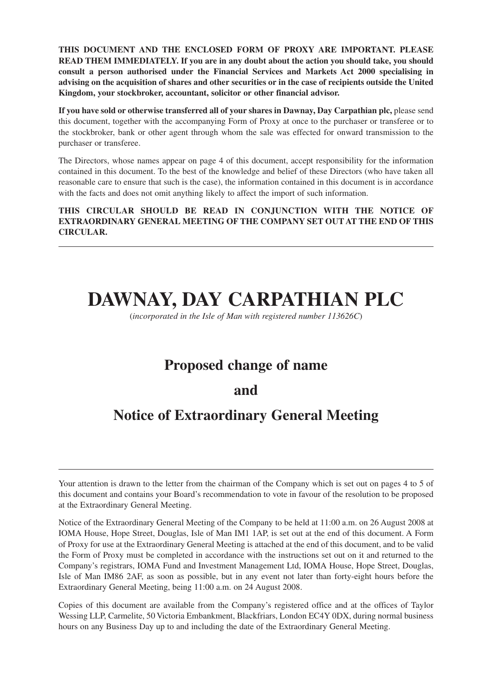**THIS DOCUMENT AND THE ENCLOSED FORM OF PROXY ARE IMPORTANT. PLEASE READ THEM IMMEDIATELY. If you are in any doubt about the action you should take, you should consult a person authorised under the Financial Services and Markets Act 2000 specialising in advising on the acquisition of shares and other securities or in the case of recipients outside the United Kingdom, your stockbroker, accountant, solicitor or other financial advisor.**

**If you have sold or otherwise transferred all of your shares in Dawnay, Day Carpathian plc,** please send this document, together with the accompanying Form of Proxy at once to the purchaser or transferee or to the stockbroker, bank or other agent through whom the sale was effected for onward transmission to the purchaser or transferee.

The Directors, whose names appear on page 4 of this document, accept responsibility for the information contained in this document. To the best of the knowledge and belief of these Directors (who have taken all reasonable care to ensure that such is the case), the information contained in this document is in accordance with the facts and does not omit anything likely to affect the import of such information.

**THIS CIRCULAR SHOULD BE READ IN CONJUNCTION WITH THE NOTICE OF EXTRAORDINARY GENERAL MEETING OF THE COMPANY SET OUT AT THE END OF THIS CIRCULAR.**

# **DAWNAY, DAY CARPATHIAN PLC**

(*incorporated in the Isle of Man with registered number 113626C*)

# **Proposed change of name**

## **and**

# **Notice of Extraordinary General Meeting**

Copies of this document are available from the Company's registered office and at the offices of Taylor Wessing LLP, Carmelite, 50 Victoria Embankment, Blackfriars, London EC4Y 0DX, during normal business hours on any Business Day up to and including the date of the Extraordinary General Meeting.

Your attention is drawn to the letter from the chairman of the Company which is set out on pages 4 to 5 of this document and contains your Board's recommendation to vote in favour of the resolution to be proposed at the Extraordinary General Meeting.

Notice of the Extraordinary General Meeting of the Company to be held at 11:00 a.m. on 26 August 2008 at IOMA House, Hope Street, Douglas, Isle of Man IM1 1AP, is set out at the end of this document. A Form of Proxy for use at the Extraordinary General Meeting is attached at the end of this document, and to be valid the Form of Proxy must be completed in accordance with the instructions set out on it and returned to the Company's registrars, IOMA Fund and Investment Management Ltd, IOMA House, Hope Street, Douglas, Isle of Man IM86 2AF, as soon as possible, but in any event not later than forty-eight hours before the Extraordinary General Meeting, being 11:00 a.m. on 24 August 2008.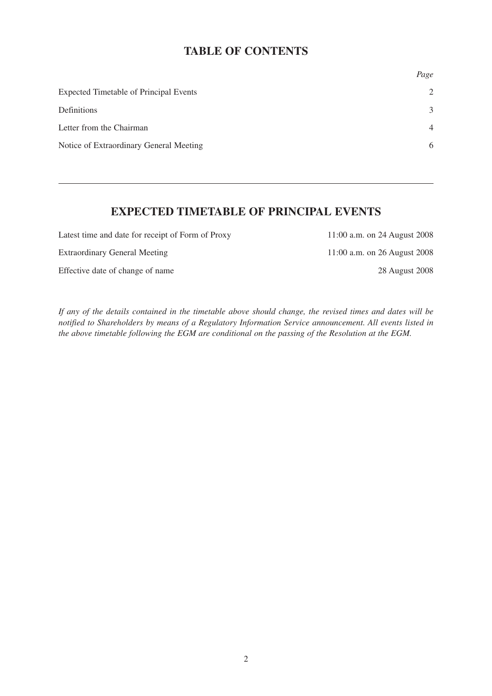### **TABLE OF CONTENTS**

|                                               | Page           |
|-----------------------------------------------|----------------|
| <b>Expected Timetable of Principal Events</b> | $\overline{2}$ |
| Definitions                                   | 3              |
| Letter from the Chairman                      | $\overline{4}$ |
| Notice of Extraordinary General Meeting       | 6              |

### **EXPECTED TIMETABLE OF PRINCIPAL EVENTS**

Latest time and date for receipt of Form of Proxy 11:00 a.m. on 24 August 2008

Effective date of change of name 28 August 2008

Extraordinary General Meeting 11:00 a.m. on 26 August 2008

*If any of the details contained in the timetable above should change, the revised times and dates will be notified to Shareholders by means of a Regulatory Information Service announcement. All events listed in the above timetable following the EGM are conditional on the passing of the Resolution at the EGM.*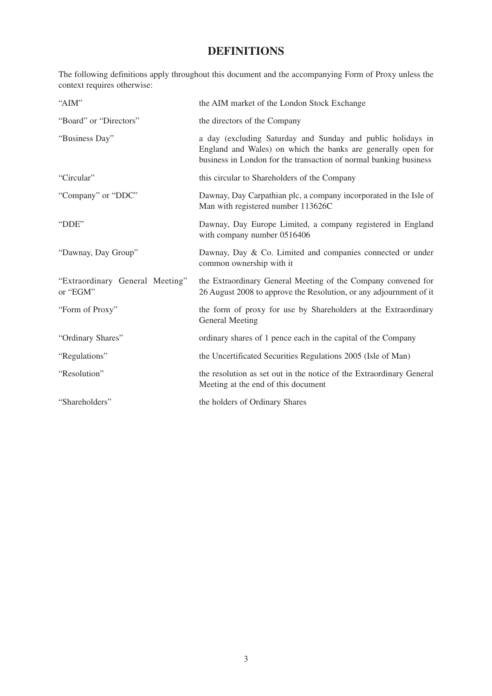## **DEFINITIONS**

The following definitions apply throughout this document and the accompanying Form of Proxy unless the context requires otherwise:

| "AIM"                                       | the AIM market of the London Stock Exchange                                                                                                                                                      |
|---------------------------------------------|--------------------------------------------------------------------------------------------------------------------------------------------------------------------------------------------------|
| "Board" or "Directors"                      | the directors of the Company                                                                                                                                                                     |
| "Business Day"                              | a day (excluding Saturday and Sunday and public holidays in<br>England and Wales) on which the banks are generally open for<br>business in London for the transaction of normal banking business |
| "Circular"                                  | this circular to Shareholders of the Company                                                                                                                                                     |
| "Company" or "DDC"                          | Dawnay, Day Carpathian plc, a company incorporated in the Isle of<br>Man with registered number 113626C                                                                                          |
| "DDE"                                       | Dawnay, Day Europe Limited, a company registered in England<br>with company number 0516406                                                                                                       |
| "Dawnay, Day Group"                         | Dawnay, Day & Co. Limited and companies connected or under<br>common ownership with it                                                                                                           |
| "Extraordinary General Meeting"<br>or "EGM" | the Extraordinary General Meeting of the Company convened for<br>26 August 2008 to approve the Resolution, or any adjournment of it                                                              |
| "Form of Proxy"                             | the form of proxy for use by Shareholders at the Extraordinary<br><b>General Meeting</b>                                                                                                         |
| "Ordinary Shares"                           | ordinary shares of 1 pence each in the capital of the Company                                                                                                                                    |
| "Regulations"                               | the Uncertificated Securities Regulations 2005 (Isle of Man)                                                                                                                                     |
| "Resolution"                                | the resolution as set out in the notice of the Extraordinary General<br>Meeting at the end of this document                                                                                      |
| "Shareholders"                              | the holders of Ordinary Shares                                                                                                                                                                   |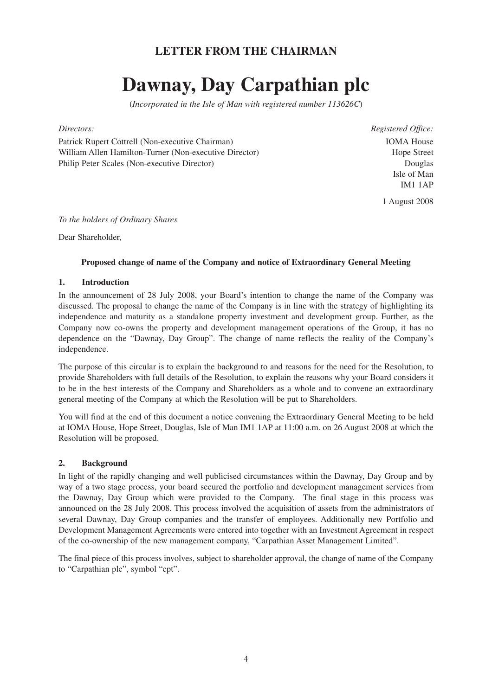## **LETTER FROM THE CHAIRMAN**

# **Dawnay, Day Carpathian plc**

(*Incorporated in the Isle of Man with registered number 113626C*)

Patrick Rupert Cottrell (Non-executive Chairman) William Allen Hamilton-Turner (Non-executive Director) Philip Peter Scales (Non-executive Director)

*Directors: Registered Office:* IOMA House Hope Street Douglas Isle of Man IM1 1AP

1 August 2008

*To the holders of Ordinary Shares*

Dear Shareholder,

#### **Proposed change of name of the Company and notice of Extraordinary General Meeting**

#### **1. Introduction**

In the announcement of 28 July 2008, your Board's intention to change the name of the Company was discussed. The proposal to change the name of the Company is in line with the strategy of highlighting its independence and maturity as a standalone property investment and development group. Further, as the Company now co-owns the property and development management operations of the Group, it has no dependence on the "Dawnay, Day Group". The change of name reflects the reality of the Company's independence.

The purpose of this circular is to explain the background to and reasons for the need for the Resolution, to provide Shareholders with full details of the Resolution, to explain the reasons why your Board considers it to be in the best interests of the Company and Shareholders as a whole and to convene an extraordinary general meeting of the Company at which the Resolution will be put to Shareholders.

You will find at the end of this document a notice convening the Extraordinary General Meeting to be held at IOMA House, Hope Street, Douglas, Isle of Man IM1 1AP at 11:00 a.m. on 26 August 2008 at which the Resolution will be proposed.

#### **2. Background**

In light of the rapidly changing and well publicised circumstances within the Dawnay, Day Group and by way of a two stage process, your board secured the portfolio and development management services from the Dawnay, Day Group which were provided to the Company. The final stage in this process was announced on the 28 July 2008. This process involved the acquisition of assets from the administrators of several Dawnay, Day Group companies and the transfer of employees. Additionally new Portfolio and Development Management Agreements were entered into together with an Investment Agreement in respect of the co-ownership of the new management company, "Carpathian Asset Management Limited".

The final piece of this process involves, subject to shareholder approval, the change of name of the Company to "Carpathian plc", symbol "cpt".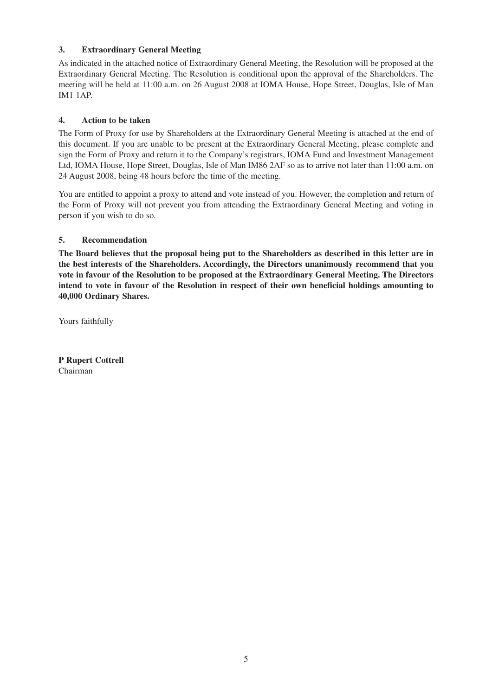#### **3. Extraordinary General Meeting**

As indicated in the attached notice of Extraordinary General Meeting, the Resolution will be proposed at the Extraordinary General Meeting. The Resolution is conditional upon the approval of the Shareholders. The meeting will be held at 11:00 a.m. on 26 August 2008 at IOMA House, Hope Street, Douglas, Isle of Man IM1 1AP.

#### **4. Action to be taken**

The Form of Proxy for use by Shareholders at the Extraordinary General Meeting is attached at the end of this document. If you are unable to be present at the Extraordinary General Meeting, please complete and sign the Form of Proxy and return it to the Company's registrars, IOMA Fund and Investment Management Ltd, IOMA House, Hope Street, Douglas, Isle of Man IM86 2AF so as to arrive not later than 11:00 a.m. on 24 August 2008, being 48 hours before the time of the meeting.

You are entitled to appoint a proxy to attend and vote instead of you. However, the completion and return of the Form of Proxy will not prevent you from attending the Extraordinary General Meeting and voting in person if you wish to do so.

#### **5. Recommendation**

**The Board believes that the proposal being put to the Shareholders as described in this letter are in the best interests of the Shareholders. Accordingly, the Directors unanimously recommend that you vote in favour of the Resolution to be proposed at the Extraordinary General Meeting. The Directors intend to vote in favour of the Resolution in respect of their own beneficial holdings amounting to 40,000 Ordinary Shares.**

Yours faithfully

**P Rupert Cottrell** Chairman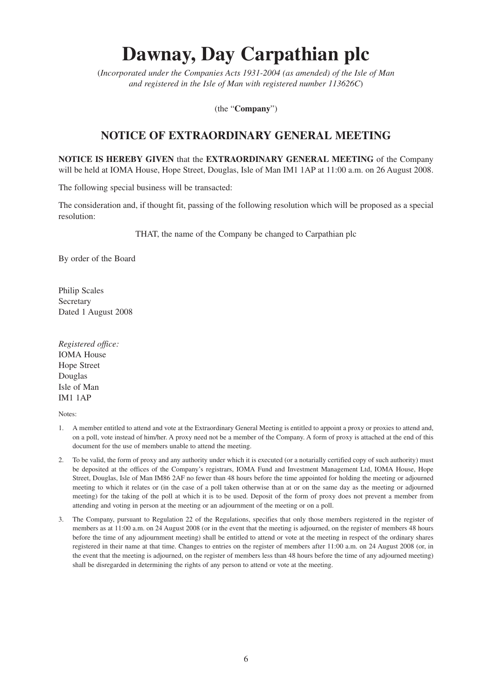# **Dawnay, Day Carpathian plc**

(*Incorporated under the Companies Acts 1931-2004 (as amended) of the Isle of Man and registered in the Isle of Man with registered number 113626C*)

(the "**Company**")

### **NOTICE OF EXTRAORDINARY GENERAL MEETING**

**NOTICE IS HEREBY GIVEN** that the **EXTRAORDINARY GENERAL MEETING** of the Company will be held at IOMA House, Hope Street, Douglas, Isle of Man IM1 1AP at 11:00 a.m. on 26 August 2008.

The following special business will be transacted:

The consideration and, if thought fit, passing of the following resolution which will be proposed as a special resolution:

THAT, the name of the Company be changed to Carpathian plc

By order of the Board

Philip Scales Secretary Dated 1 August 2008

*Registered office:* IOMA House Hope Street Douglas Isle of Man IM1 1AP

Notes:

- 1. A member entitled to attend and vote at the Extraordinary General Meeting is entitled to appoint a proxy or proxies to attend and, on a poll, vote instead of him/her. A proxy need not be a member of the Company. A form of proxy is attached at the end of this document for the use of members unable to attend the meeting.
- 2. To be valid, the form of proxy and any authority under which it is executed (or a notarially certified copy of such authority) must be deposited at the offices of the Company's registrars, IOMA Fund and Investment Management Ltd, IOMA House, Hope Street, Douglas, Isle of Man IM86 2AF no fewer than 48 hours before the time appointed for holding the meeting or adjourned meeting to which it relates or (in the case of a poll taken otherwise than at or on the same day as the meeting or adjourned meeting) for the taking of the poll at which it is to be used. Deposit of the form of proxy does not prevent a member from attending and voting in person at the meeting or an adjournment of the meeting or on a poll.
- 3. The Company, pursuant to Regulation 22 of the Regulations, specifies that only those members registered in the register of members as at 11:00 a.m. on 24 August 2008 (or in the event that the meeting is adjourned, on the register of members 48 hours before the time of any adjournment meeting) shall be entitled to attend or vote at the meeting in respect of the ordinary shares registered in their name at that time. Changes to entries on the register of members after 11:00 a.m. on 24 August 2008 (or, in the event that the meeting is adjourned, on the register of members less than 48 hours before the time of any adjourned meeting) shall be disregarded in determining the rights of any person to attend or vote at the meeting.